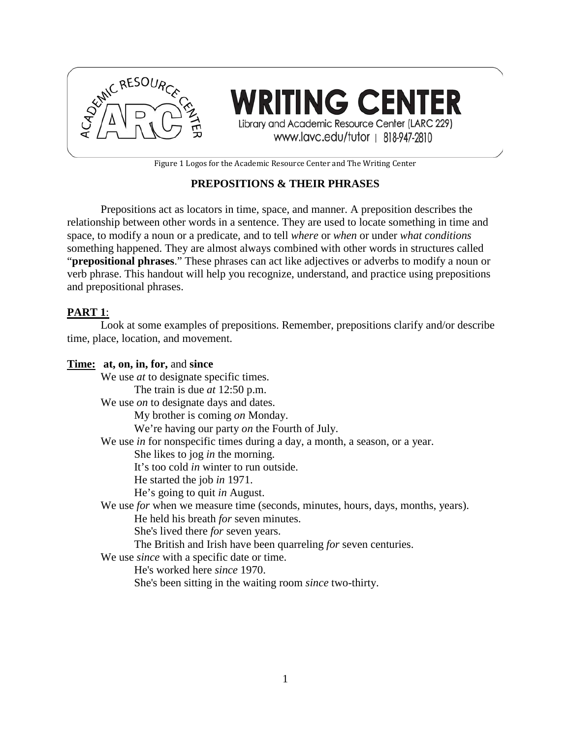

**WRITING CENTER** Library and Academic Resource Center (LARC 229) www.lavc.edu/tutor | 818-947-2810

Figure 1 Logos for the Academic Resource Center and The Writing Center

## **PREPOSITIONS & THEIR PHRASES**

Prepositions act as locators in time, space, and manner. A preposition describes the relationship between other words in a sentence. They are used to locate something in time and space, to modify a noun or a predicate, and to tell *where* or *when* or under *what conditions* something happened. They are almost always combined with other words in structures called "**prepositional phrases**." These phrases can act like adjectives or adverbs to modify a noun or verb phrase. This handout will help you recognize, understand, and practice using prepositions and prepositional phrases.

#### **PART 1**:

Look at some examples of prepositions. Remember, prepositions clarify and/or describe time, place, location, and movement.

#### **Time: at, on, in, for,** and **since**

We use *at* to designate specific times. The train is due *at* 12:50 p.m. We use *on* to designate days and dates. My brother is coming *on* Monday. We're having our party *on* the Fourth of July. We use *in* for nonspecific times during a day, a month, a season, or a year. She likes to jog *in* the morning. It's too cold *in* winter to run outside. He started the job *in* 1971. He's going to quit *in* August. We use *for* when we measure time (seconds, minutes, hours, days, months, years). He held his breath *for* seven minutes. She's lived there *for* seven years. The British and Irish have been quarreling *for* seven centuries. We use *since* with a specific date or time. He's worked here *since* 1970. She's been sitting in the waiting room *since* two-thirty.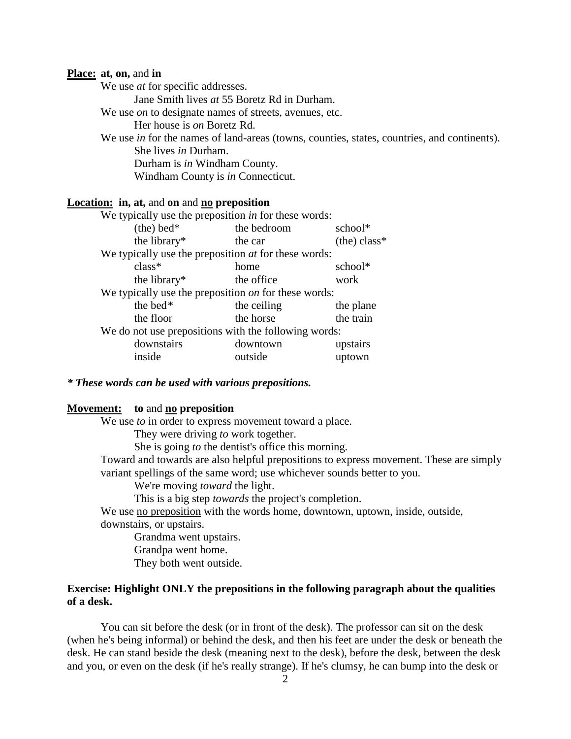#### **Place: at, on,** and **in**

We use *at* for specific addresses.

Jane Smith lives *at* 55 Boretz Rd in Durham.

We use *on* to designate names of streets, avenues, etc.

Her house is *on* Boretz Rd.

We use *in* for the names of land-areas (towns, counties, states, countries, and continents). She lives *in* Durham. Durham is *in* Windham County.

Windham County is *in* Connecticut.

#### **Location: in, at,** and **on** and **no preposition**

| We typically use the preposition in for these words:        |             |                |
|-------------------------------------------------------------|-------------|----------------|
| $(the) bed*$                                                | the bedroom | school*        |
| the library*                                                | the car     | $(the) class*$ |
| We typically use the preposition <i>at</i> for these words: |             |                |
| $class*$                                                    | home        | school*        |
| the library*                                                | the office  | work           |
| We typically use the preposition on for these words:        |             |                |
| the bed*                                                    | the ceiling | the plane      |
| the floor                                                   | the horse   | the train      |
| We do not use prepositions with the following words:        |             |                |
| downstairs                                                  | downtown    | upstairs       |
| inside                                                      | outside     | uptown         |
|                                                             |             |                |

*\* These words can be used with various prepositions.*

#### **Movement: to** and **no preposition**

We use *to* in order to express movement toward a place.

They were driving *to* work together.

She is going *to* the dentist's office this morning.

Toward and towards are also helpful prepositions to express movement. These are simply variant spellings of the same word; use whichever sounds better to you.

We're moving *toward* the light.

This is a big step *towards* the project's completion.

We use no preposition with the words home, downtown, uptown, inside, outside, downstairs, or upstairs.

Grandma went upstairs. Grandpa went home.

They both went outside.

#### **Exercise: Highlight ONLY the prepositions in the following paragraph about the qualities of a desk.**

You can sit before the desk (or in front of the desk). The professor can sit on the desk (when he's being informal) or behind the desk, and then his feet are under the desk or beneath the desk. He can stand beside the desk (meaning next to the desk), before the desk, between the desk and you, or even on the desk (if he's really strange). If he's clumsy, he can bump into the desk or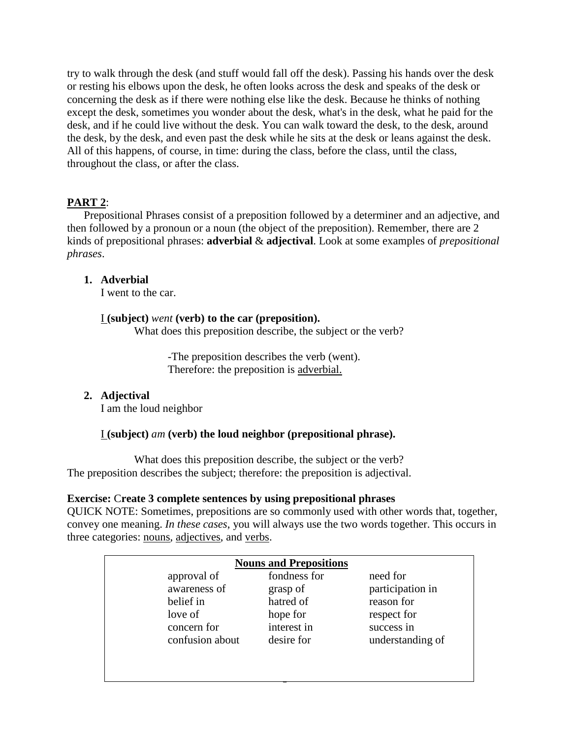try to walk through the desk (and stuff would fall off the desk). Passing his hands over the desk or resting his elbows upon the desk, he often looks across the desk and speaks of the desk or concerning the desk as if there were nothing else like the desk. Because he thinks of nothing except the desk, sometimes you wonder about the desk, what's in the desk, what he paid for the desk, and if he could live without the desk. You can walk toward the desk, to the desk, around the desk, by the desk, and even past the desk while he sits at the desk or leans against the desk. All of this happens, of course, in time: during the class, before the class, until the class, throughout the class, or after the class.

# **PART 2**:

Prepositional Phrases consist of a preposition followed by a determiner and an adjective, and then followed by a pronoun or a noun (the object of the preposition). Remember, there are 2 kinds of prepositional phrases: **adverbial** & **adjectival**. Look at some examples of *prepositional phrases*.

## **1. Adverbial**

I went to the car.

## I **(subject)** *went* **(verb) to the car (preposition).**

What does this preposition describe, the subject or the verb?

-The preposition describes the verb (went). Therefore: the preposition is adverbial.

## **2. Adjectival**

I am the loud neighbor

## I **(subject)** *am* **(verb) the loud neighbor (prepositional phrase).**

What does this preposition describe, the subject or the verb? The preposition describes the subject; therefore: the preposition is adjectival.

#### **Exercise:** C**reate 3 complete sentences by using prepositional phrases**

QUICK NOTE: Sometimes, prepositions are so commonly used with other words that, together, convey one meaning. *In these cases*, you will always use the two words together. This occurs in three categories: nouns, adjectives, and verbs.

| approval of     | fondness for | need for         |
|-----------------|--------------|------------------|
| awareness of    | grasp of     | participation in |
| belief in       | hatred of    | reason for       |
| love of         | hope for     | respect for      |
| concern for     | interest in  | success in       |
| confusion about | desire for   | understanding of |